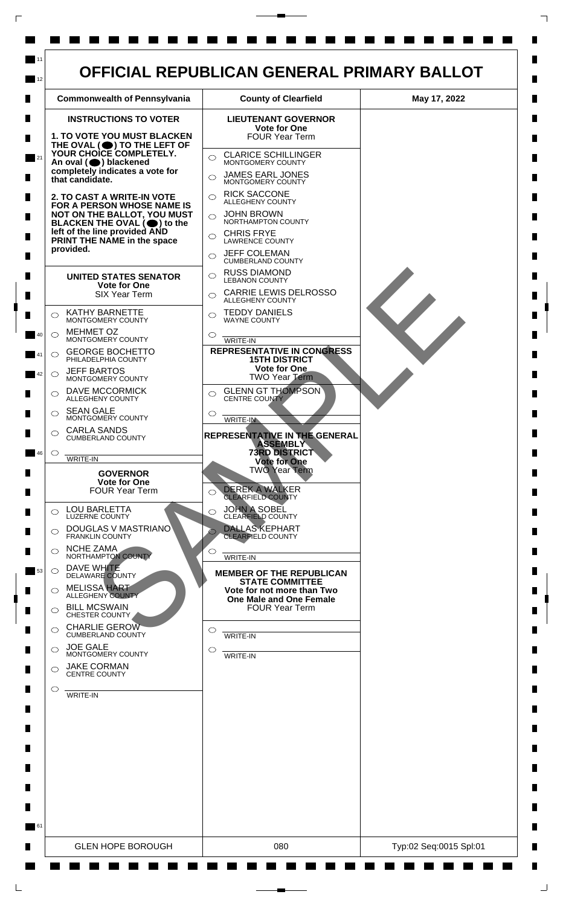

 $\mathsf{L}$ 

 $\Box$